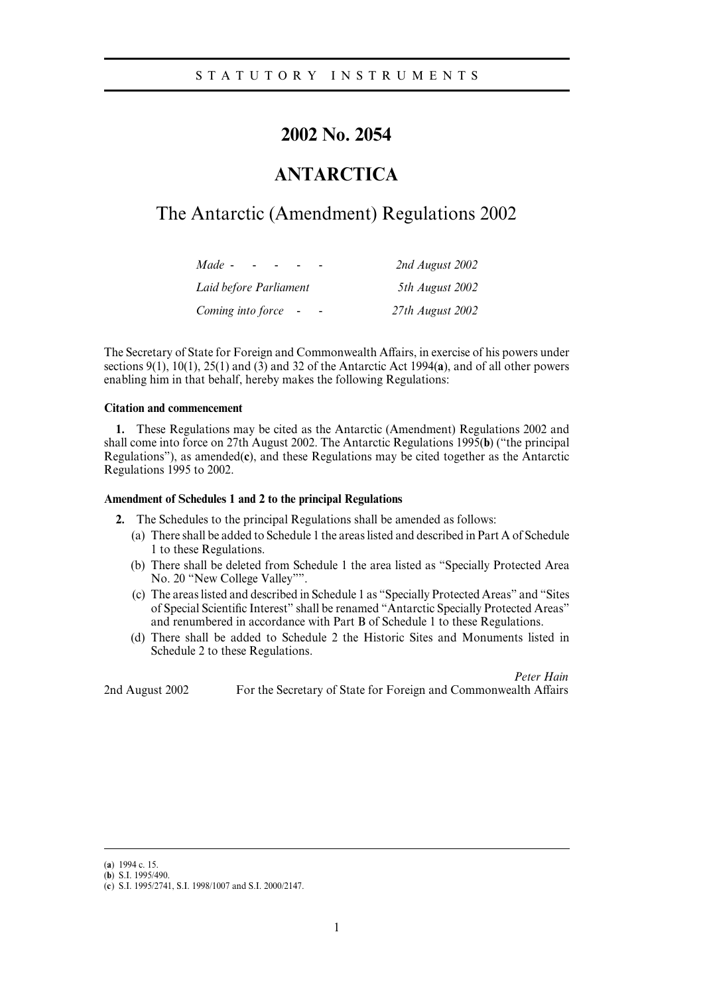### **2002 No. 2054**

# **ANTARCTICA**

# The Antarctic (Amendment) Regulations 2002

| Made -                 | 2nd August 2002  |
|------------------------|------------------|
| Laid before Parliament | 5th August 2002  |
| Coming into force      | 27th August 2002 |

The Secretary of State for Foreign and Commonwealth Affairs, in exercise of his powers under sections 9(1), 10(1), 25(1) and (3) and 32 of the Antarctic Act 1994(**a**), and of all other powers enabling him in that behalf, hereby makes the following Regulations:

### **Citation and commencement**

**1.** These Regulations may be cited as the Antarctic (Amendment) Regulations 2002 and shall come into force on 27th August 2002. The Antarctic Regulations 1995(**b**) ("the principal Regulations"), as amended(**c**), and these Regulations may be cited together as the Antarctic Regulations 1995 to 2002.

#### **Amendment of Schedules 1 and 2 to the principal Regulations**

**2.** The Schedules to the principal Regulations shall be amended as follows:

- (a) There shall be added to Schedule 1 the areas listed and described in Part A of Schedule 1 to these Regulations.
- (b) There shall be deleted from Schedule 1 the area listed as "Specially Protected Area No. 20 "New College Valley"".
- (c) The areas listed and described in Schedule 1 as "Specially Protected Areas" and "Sites of Special Scientific Interest" shall be renamed "Antarctic Specially Protected Areas" and renumbered in accordance with Part B of Schedule 1 to these Regulations.
- (d) There shall be added to Schedule 2 the Historic Sites and Monuments listed in Schedule 2 to these Regulations.

*Peter Hain* 2nd August 2002 For the Secretary of State for Foreign and Commonwealth Affairs

<sup>(</sup>a) 1994 c. 15.

 $(b)$  S.I. 1995/490.

<sup>(</sup>c) S.I. 1995/2741, S.I. 1998/1007 and S.I. 2000/2147.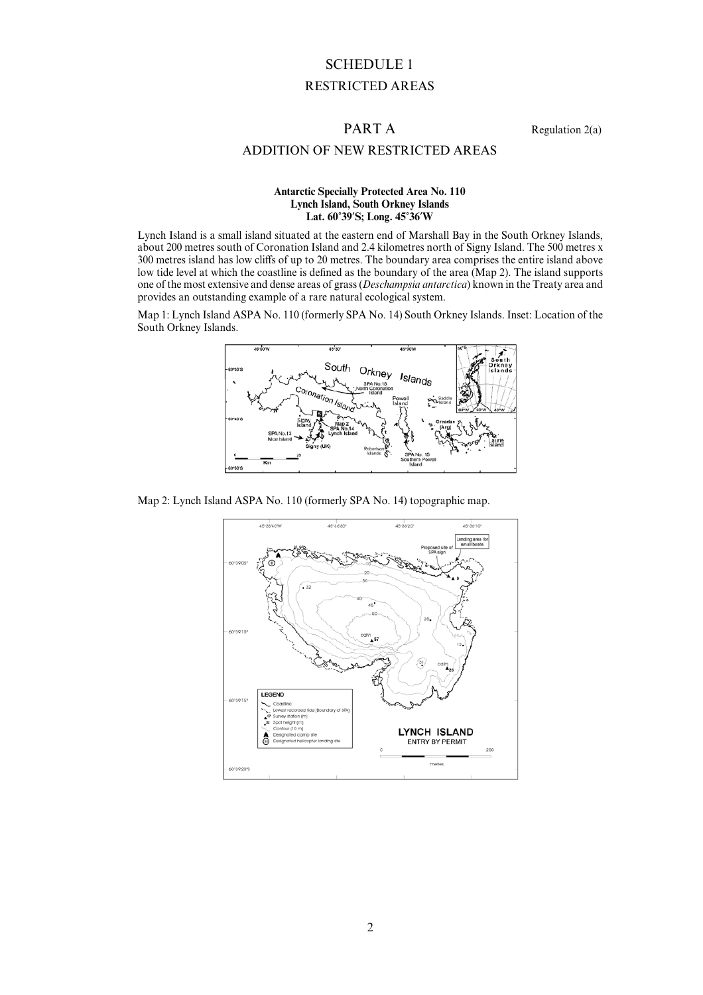# SCHEDULE 1 RESTRICTED AREAS

PART A Regulation 2(a)

### ADDITION OF NEW RESTRICTED AREAS

#### **Antarctic Specially Protected Area No. 110 Lynch Island, South Orkney Islands Lat. 60**)**39**\***S; Long. 45**)**36**\***W**

Lynch Island is a small island situated at the eastern end of Marshall Bay in the South Orkney Islands, about 200 metres south of Coronation Island and 2.4 kilometres north of Signy Island. The 500 metres x 300 metres island has low cliffs of up to 20 metres. The boundary area comprises the entire island above low tide level at which the coastline is defined as the boundary of the area (Map 2). The island supports one of the most extensive and dense areas of grass (*Deschampsia antarctica*) known in the Treaty area and provides an outstanding example of a rare natural ecological system.

Map 1: Lynch Island ASPA No. 110 (formerly SPA No. 14) South Orkney Islands. Inset: Location of the South Orkney Islands.



Map 2: Lynch Island ASPA No. 110 (formerly SPA No. 14) topographic map.

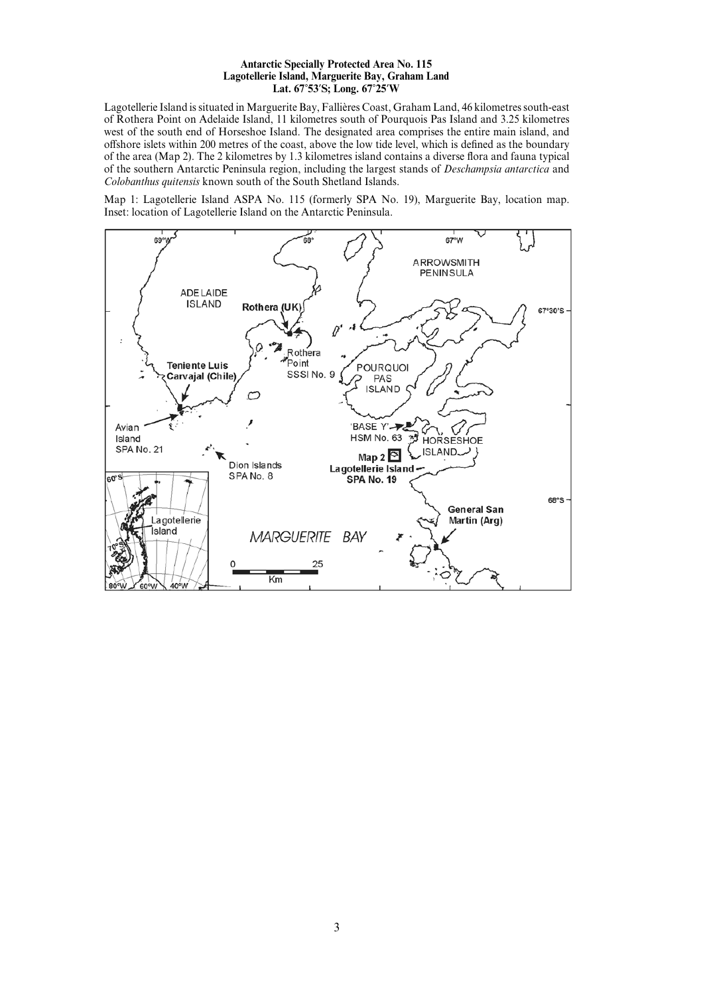#### **Antarctic Specially Protected Area No. 115 Lagotellerie Island, Marguerite Bay, Graham Land Lat. 67**)**53**\***S; Long. 67**)**25**\***W**

Lagotellerie Island is situated in Marguerite Bay, Fallières Coast, Graham Land, 46 kilometres south-east of Rothera Point on Adelaide Island, 11 kilometres south of Pourquois Pas Island and 3.25 kilometres west of the south end of Horseshoe Island. The designated area comprises the entire main island, and offshore islets within 200 metres of the coast, above the low tide level, which is defined as the boundary of the area (Map 2). The 2 kilometres by 1.3 kilometres island contains a diverse flora and fauna typical of the southern Antarctic Peninsula region, including the largest stands of *Deschampsia antarctica* and *Colobanthus quitensis* known south of the South Shetland Islands.

Map 1: Lagotellerie Island ASPA No. 115 (formerly SPA No. 19), Marguerite Bay, location map. Inset: location of Lagotellerie Island on the Antarctic Peninsula.

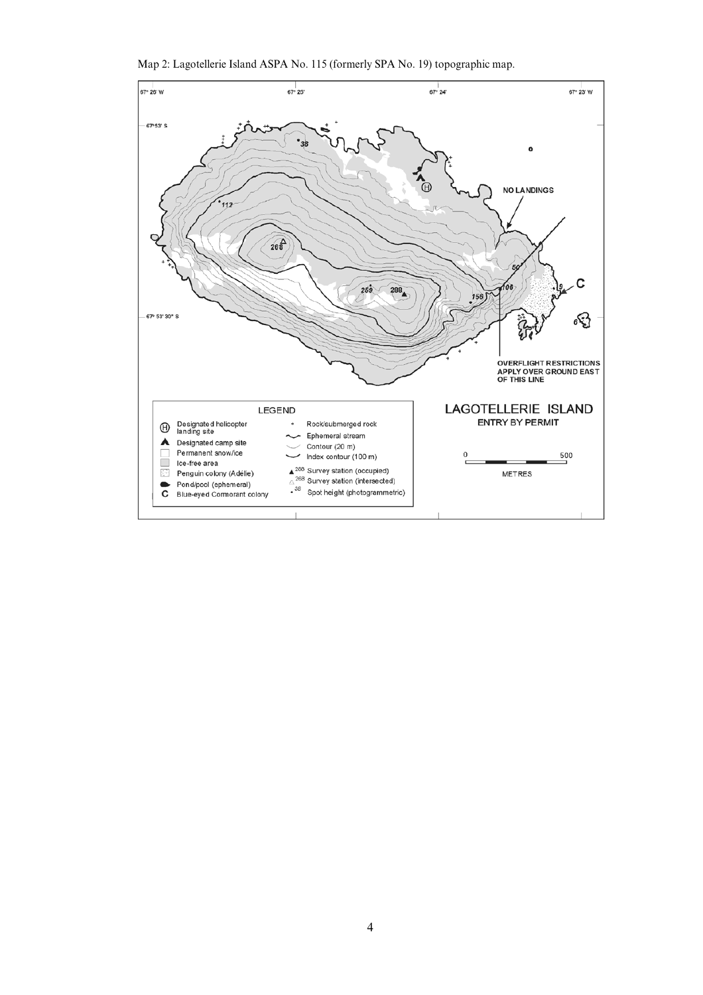Map 2: Lagotellerie Island ASPA No. 115 (formerly SPA No. 19) topographic map.

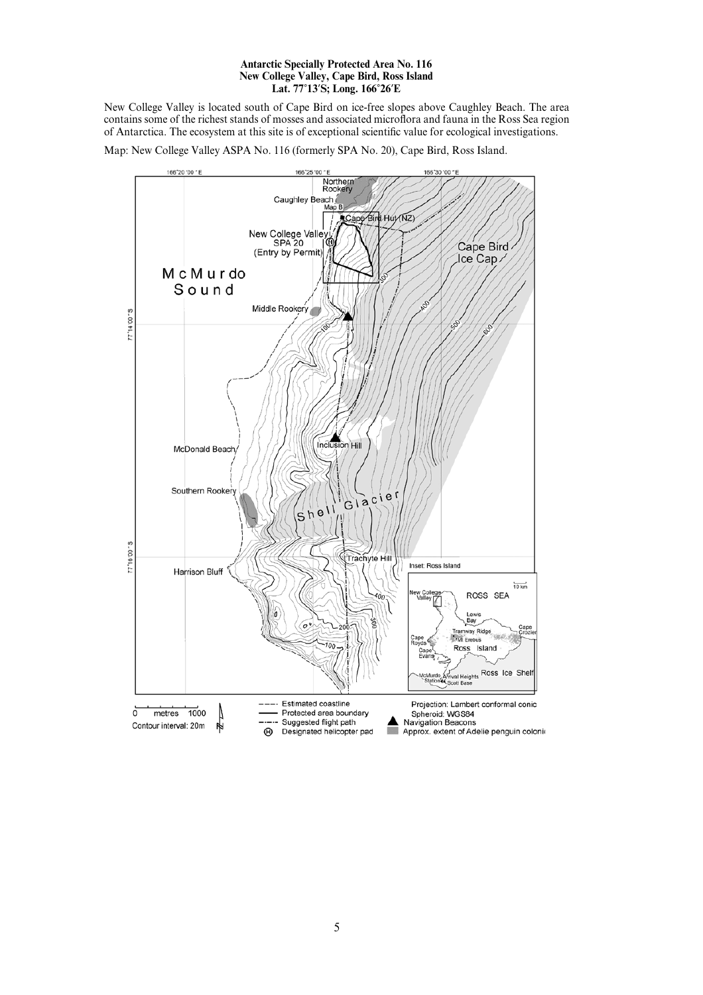#### **Antarctic Specially Protected Area No. 116 New College Valley, Cape Bird, Ross Island Lat. 77**)**13**\***S; Long. 166**)**26**\***E**

New College Valley is located south of Cape Bird on ice-free slopes above Caughley Beach. The area contains some of the richest stands of mosses and associated microflora and fauna in the Ross Sea region of Antarctica. The ecosystem at this site is of exceptional scientific value for ecological investigations.

Map: New College Valley ASPA No. 116 (formerly SPA No. 20), Cape Bird, Ross Island.

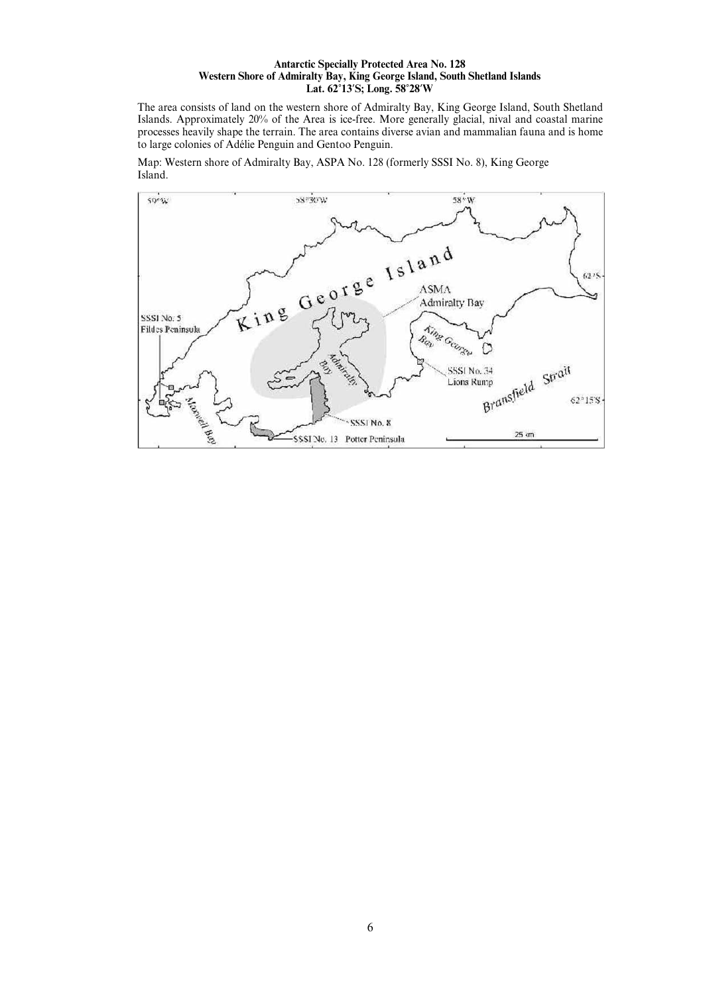#### **Antarctic Specially Protected Area No. 128 Western Shore of Admiralty Bay, King George Island, South Shetland Islands Lat. 62**)**13**\***S; Long. 58**)**28**\***W**

The area consists of land on the western shore of Admiralty Bay, King George Island, South Shetland Islands. Approximately 20% of the Area is ice-free. More generally glacial, nival and coastal marine processes heavily shape the terrain. The area contains diverse avian and mammalian fauna and is home to large colonies of Adélie Penguin and Gentoo Penguin.

Map: Western shore of Admiralty Bay, ASPA No. 128 (formerly SSSI No. 8), King George Island.

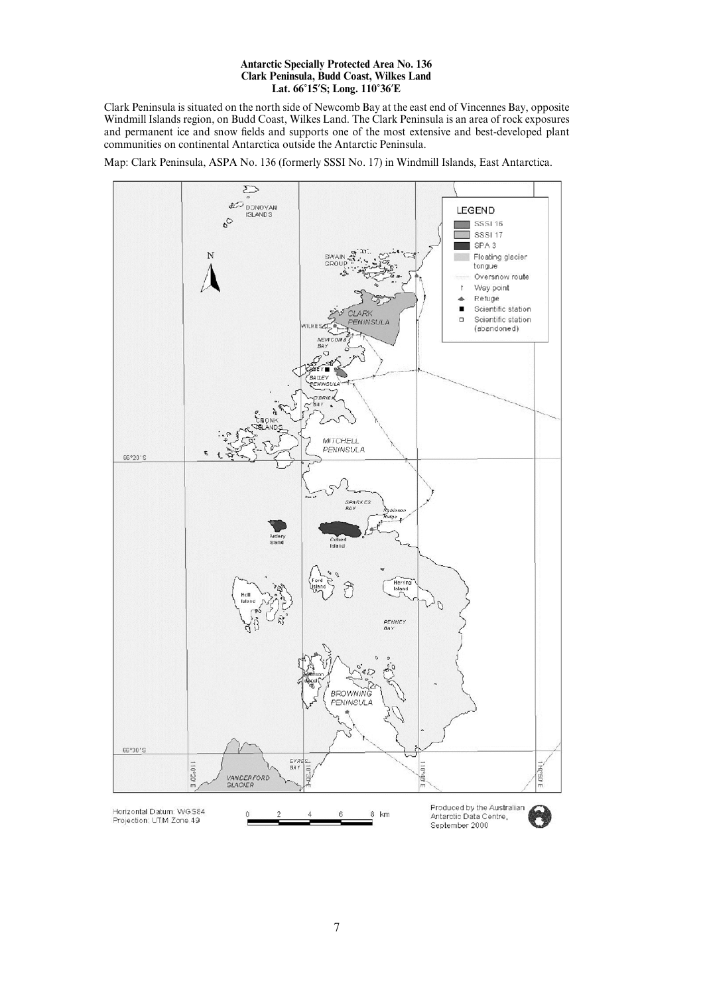#### **Antarctic Specially Protected Area No. 136 Clark Peninsula, Budd Coast, Wilkes Land Lat. 66**)**15**\***S; Long. 110**)**36**\***E**

Clark Peninsula is situated on the north side of Newcomb Bay at the east end of Vincennes Bay, opposite Windmill Islands region, on Budd Coast, Wilkes Land. The Clark Peninsula is an area of rock exposures and permanent ice and snow fields and supports one of the most extensive and best-developed plant communities on continental Antarctica outside the Antarctic Peninsula.

Map: Clark Peninsula, ASPA No. 136 (formerly SSSI No. 17) in Windmill Islands, East Antarctica.

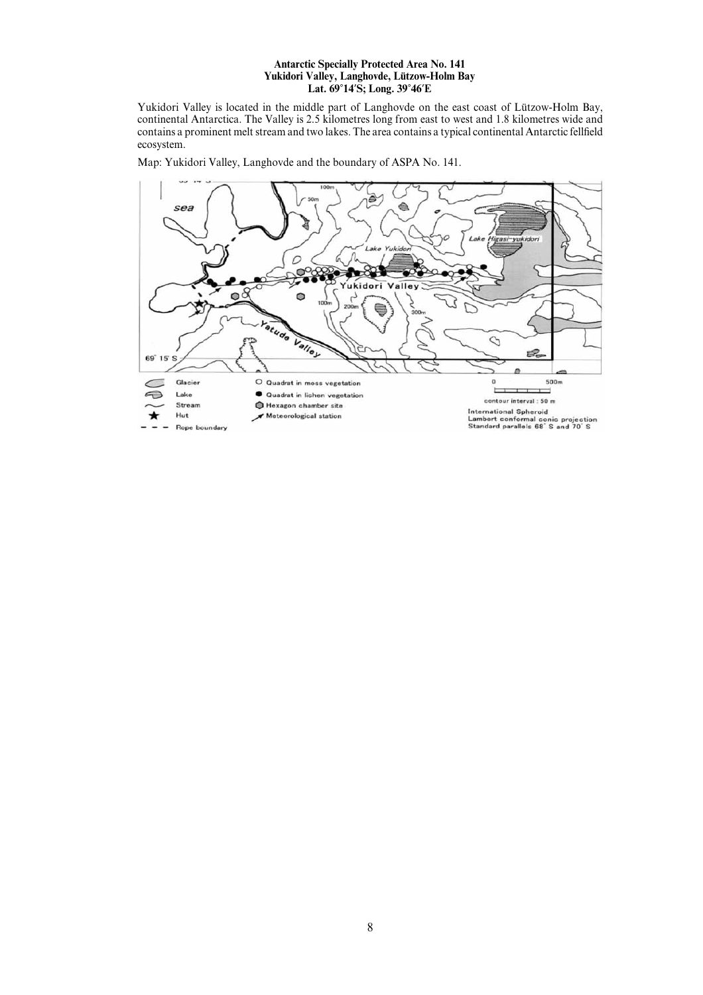#### **Antarctic Specially Protected Area No. 141** Yukidori Valley, Langhovde, Lützow-Holm Bay **Lat. 69**)**14**\***S; Long. 39**)**46**\***E**

Yukidori Valley is located in the middle part of Langhovde on the east coast of Lützow-Holm Bay, continental Antarctica. The Valley is 2.5 kilometres long from east to west and 1.8 kilometres wide and contains a prominent melt stream and two lakes. The area contains a typical continental Antarctic fellfield ecosystem.

sea ċ asi-y D  $\bullet$ ÷. ukidori  $\circ$  $\bullet$ **Yatude** Valley D É. 69° 15' S Glacier O Quadrat in moss vegetation  $\overline{0}$ 500m  $\epsilon$ Lake Quadrat in lichen vegetation € contour interval : 50 m Stream Hexagon chamber site International Spheroid<br>Lambert conformal conic projection<br>Standard parallels 68°S and 70°S Meteorological station Hut Rope boundary

Map: Yukidori Valley, Langhovde and the boundary of ASPA No. 141.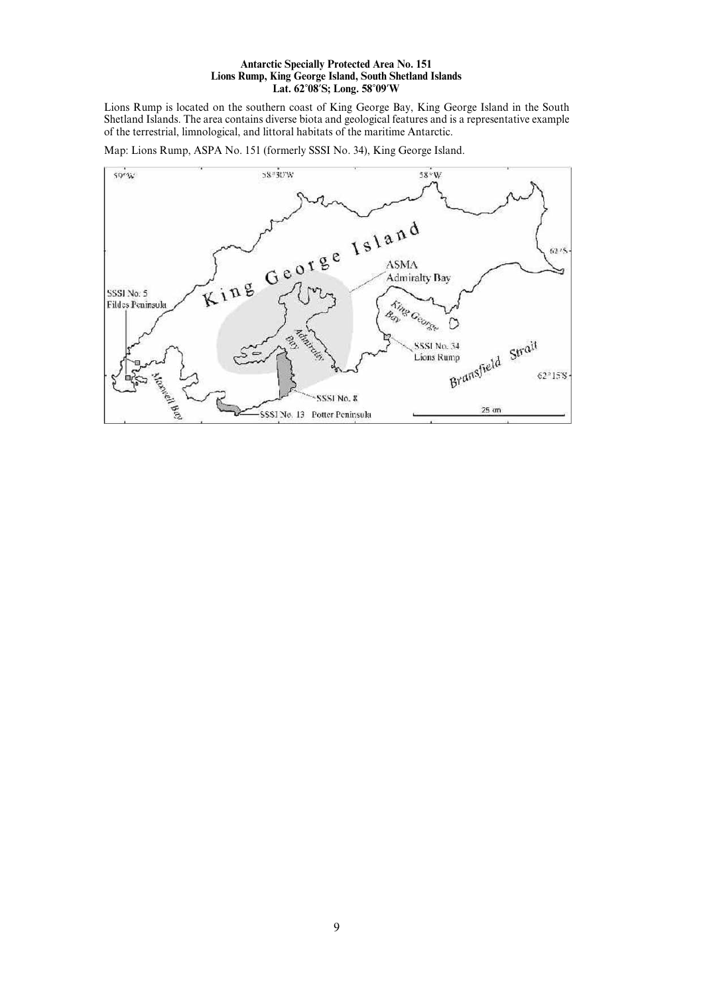#### **Antarctic Specially Protected Area No. 151 Lions Rump, King George Island, South Shetland Islands Lat. 62**)**08**\***S; Long. 58**)**09**\***W**

Lions Rump is located on the southern coast of King George Bay, King George Island in the South Shetland Islands. The area contains diverse biota and geological features and is a representative example of the terrestrial, limnological, and littoral habitats of the maritime Antarctic.

Map: Lions Rump, ASPA No. 151 (formerly SSSI No. 34), King George Island.

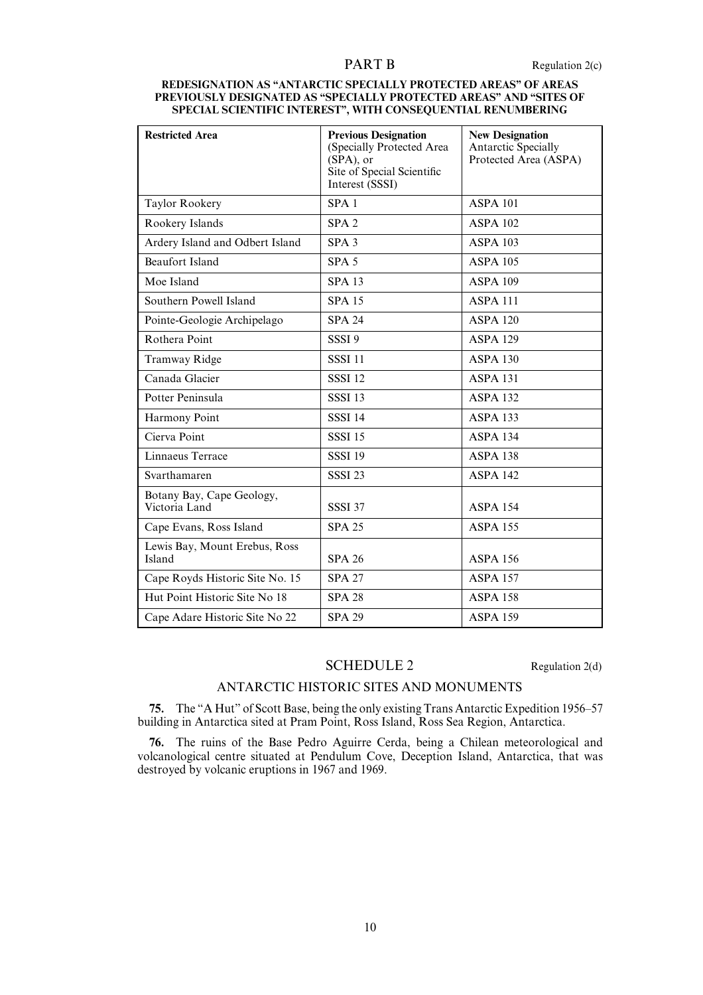#### **REDESIGNATION AS "ANTARCTIC SPECIALLY PROTECTED AREAS" OF AREAS PREVIOUSLY DESIGNATED AS "SPECIALLY PROTECTED AREAS" AND "SITES OF SPECIAL SCIENTIFIC INTEREST", WITH CONSEQUENTIAL RENUMBERING**

| <b>Restricted Area</b>                     | <b>Previous Designation</b><br>(Specially Protected Area<br>(SPA), or<br>Site of Special Scientific<br>Interest (SSSI) | <b>New Designation</b><br><b>Antarctic Specially</b><br>Protected Area (ASPA) |
|--------------------------------------------|------------------------------------------------------------------------------------------------------------------------|-------------------------------------------------------------------------------|
| Taylor Rookery                             | SPA <sub>1</sub>                                                                                                       | <b>ASPA 101</b>                                                               |
| Rookery Islands                            | SPA2                                                                                                                   | <b>ASPA 102</b>                                                               |
| Ardery Island and Odbert Island            | SPA <sub>3</sub>                                                                                                       | <b>ASPA 103</b>                                                               |
| <b>Beaufort Island</b>                     | SPA <sub>5</sub>                                                                                                       | <b>ASPA 105</b>                                                               |
| Moe Island                                 | <b>SPA 13</b>                                                                                                          | <b>ASPA 109</b>                                                               |
| Southern Powell Island                     | <b>SPA 15</b>                                                                                                          | <b>ASPA 111</b>                                                               |
| Pointe-Geologie Archipelago                | <b>SPA 24</b>                                                                                                          | <b>ASPA 120</b>                                                               |
| Rothera Point                              | SSSI <sub>9</sub>                                                                                                      | <b>ASPA 129</b>                                                               |
| <b>Tramway Ridge</b>                       | <b>SSSI 11</b>                                                                                                         | <b>ASPA 130</b>                                                               |
| Canada Glacier                             | <b>SSSI 12</b>                                                                                                         | <b>ASPA 131</b>                                                               |
| Potter Peninsula                           | <b>SSSI 13</b>                                                                                                         | <b>ASPA 132</b>                                                               |
| Harmony Point                              | <b>SSSI 14</b>                                                                                                         | <b>ASPA 133</b>                                                               |
| Cierva Point                               | <b>SSSI 15</b>                                                                                                         | <b>ASPA 134</b>                                                               |
| Linnaeus Terrace                           | <b>SSSI 19</b>                                                                                                         | <b>ASPA 138</b>                                                               |
| Svarthamaren                               | <b>SSSI 23</b>                                                                                                         | <b>ASPA 142</b>                                                               |
| Botany Bay, Cape Geology,<br>Victoria Land | <b>SSSI 37</b>                                                                                                         | <b>ASPA 154</b>                                                               |
| Cape Evans, Ross Island                    | <b>SPA 25</b>                                                                                                          | <b>ASPA 155</b>                                                               |
| Lewis Bay, Mount Erebus, Ross<br>Island    | <b>SPA 26</b>                                                                                                          | <b>ASPA 156</b>                                                               |
| Cape Royds Historic Site No. 15            | <b>SPA 27</b>                                                                                                          | <b>ASPA 157</b>                                                               |
| Hut Point Historic Site No 18              | <b>SPA 28</b>                                                                                                          | <b>ASPA 158</b>                                                               |
| Cape Adare Historic Site No 22             | <b>SPA 29</b>                                                                                                          | <b>ASPA 159</b>                                                               |

### SCHEDULE 2 Regulation 2(d)

### ANTARCTIC HISTORIC SITES AND MONUMENTS

**75.** The "A Hut" of Scott Base, being the only existing Trans Antarctic Expedition 1956–57 building in Antarctica sited at Pram Point, Ross Island, Ross Sea Region, Antarctica.

**76.** The ruins of the Base Pedro Aguirre Cerda, being a Chilean meteorological and volcanological centre situated at Pendulum Cove, Deception Island, Antarctica, that was destroyed by volcanic eruptions in 1967 and 1969.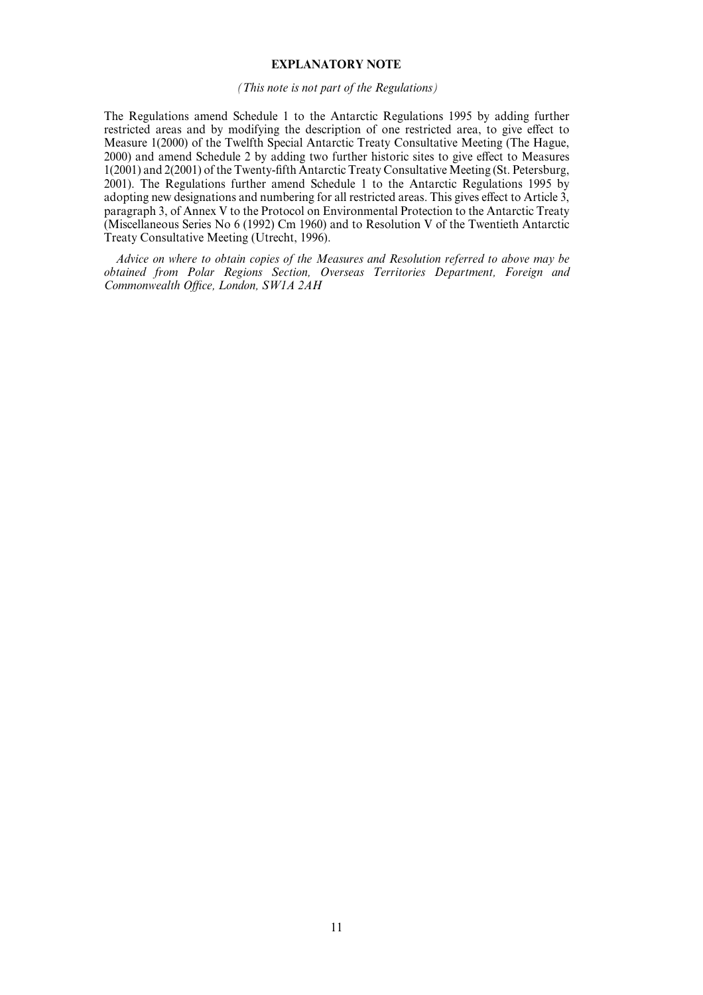### **EXPLANATORY NOTE**

#### *(This note is not part of the Regulations)*

The Regulations amend Schedule 1 to the Antarctic Regulations 1995 by adding further restricted areas and by modifying the description of one restricted area, to give effect to Measure 1(2000) of the Twelfth Special Antarctic Treaty Consultative Meeting (The Hague, 2000) and amend Schedule 2 by adding two further historic sites to give effect to Measures 1(2001) and 2(2001) of the Twenty-fifth Antarctic Treaty Consultative Meeting (St. Petersburg, 2001). The Regulations further amend Schedule 1 to the Antarctic Regulations 1995 by adopting new designations and numbering for all restricted areas. This gives effect to Article 3, paragraph 3, of Annex V to the Protocol on Environmental Protection to the Antarctic Treaty (Miscellaneous Series No 6 (1992) Cm 1960) and to Resolution V of the Twentieth Antarctic Treaty Consultative Meeting (Utrecht, 1996).

*Advice on where to obtain copies of the Measures and Resolution referred to above may be obtained from Polar Regions Section, Overseas Territories Department, Foreign and Commonwealth Office, London, SW1A 2AH*